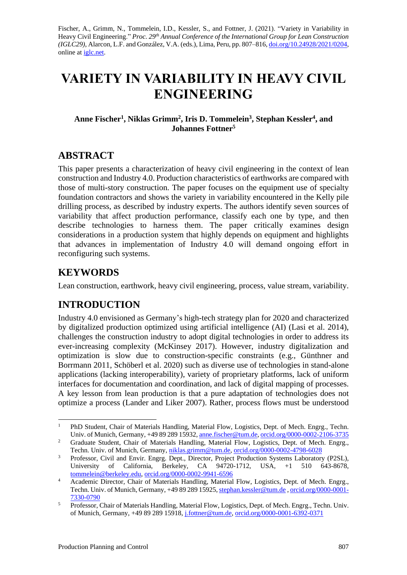Fischer, A., Grimm, N., Tommelein, I.D., Kessler, S., and Fottner, J. (2021). "Variety in Variability in Heavy Civil Engineering." *Proc. 29 th Annual Conference of the International Group for Lean Construction (IGLC29)*, Alarcon, L.F. and González, V.A. (eds.)*,* Lima, Peru, pp. 807–816, [doi.org/10.24928/2021/0204,](https://doi.org/10.24928/2021/0204) online at [iglc.net.](http://iglc.net/)

# **VARIETY IN VARIABILITY IN HEAVY CIVIL ENGINEERING**

#### **Anne Fischer<sup>1</sup> , Niklas Grimm<sup>2</sup> , Iris D. Tommelein<sup>3</sup> , Stephan Kessler<sup>4</sup> , and Johannes Fottner<sup>5</sup>**

### **ABSTRACT**

This paper presents a characterization of heavy civil engineering in the context of lean construction and Industry 4.0. Production characteristics of earthworks are compared with those of multi-story construction. The paper focuses on the equipment use of specialty foundation contractors and shows the variety in variability encountered in the Kelly pile drilling process, as described by industry experts. The authors identify seven sources of variability that affect production performance, classify each one by type, and then describe technologies to harness them. The paper critically examines design considerations in a production system that highly depends on equipment and highlights that advances in implementation of Industry 4.0 will demand ongoing effort in reconfiguring such systems.

## **KEYWORDS**

Lean construction, earthwork, heavy civil engineering, process, value stream, variability.

# **INTRODUCTION**

Industry 4.0 envisioned as Germany's high-tech strategy plan for 2020 and characterized by digitalized production optimized using artificial intelligence (AI) (Lasi et al. 2014), challenges the construction industry to adopt digital technologies in order to address its ever-increasing complexity (McKinsey 2017). However, industry digitalization and optimization is slow due to construction-specific constraints (e.g., Günthner and Borrmann 2011, Schöberl et al. 2020) such as diverse use of technologies in stand-alone applications (lacking interoperability), variety of proprietary platforms, lack of uniform interfaces for documentation and coordination, and lack of digital mapping of processes. A key lesson from lean production is that a pure adaptation of technologies does not optimize a process (Lander and Liker 2007). Rather, process flows must be understood

<sup>&</sup>lt;sup>1</sup> PhD Student, Chair of Materials Handling, Material Flow, Logistics, Dept. of Mech. Engrg., Techn. Univ. of Munich, Germany, +49 89 289 15932[, anne.fischer@tum.de,](mailto:anne.fischer@tum.de) [orcid.org/0000-0002-2106-3735](http://orcid.org/0000-0002-2106-3735)

<sup>&</sup>lt;sup>2</sup> Graduate Student, Chair of Materials Handling, Material Flow, Logistics, Dept. of Mech. Engrg., Techn. Univ. of Munich, Germany, [niklas.grimm@tum.de,](mailto:niklas.grimm@tum.de) [orcid.org/0000-0002-4798-6028](https://orcid.org/0000-0002-4798-6028)

<sup>&</sup>lt;sup>3</sup> Professor, Civil and Envir. Engrg. Dept., Director, Project Production Systems Laboratory (P2SL), University of California, Berkeley, CA 94720-1712, USA, +1 510 643-8678, [tommelein@berkeley.edu,](mailto:tommelein@berkeley.edu) [orcid.org/0000-0002-9941-6596](http://orcid.org/0000-0002-9941-6596)

<sup>&</sup>lt;sup>4</sup> Academic Director, Chair of Materials Handling, Material Flow, Logistics, Dept. of Mech. Engrg., Techn. Univ. of Munich, Germany, +49 89 289 15925[, stephan.kessler@tum.de](mailto:stephan.kessler@tum.de) [, orcid.org/0000-0001-](https://orcid.org/0000-0001-7330-0790) [7330-0790](https://orcid.org/0000-0001-7330-0790)

<sup>&</sup>lt;sup>5</sup> Professor, Chair of Materials Handling, Material Flow, Logistics, Dept. of Mech. Engrg., Techn. Univ. of Munich, Germany, +49 89 289 15918, [j.fottner@tum.de,](mailto:j.fottner@tum.de) [orcid.org/0000-0001-6392-0371](http://orcid.org/0000-0001-6392-0371)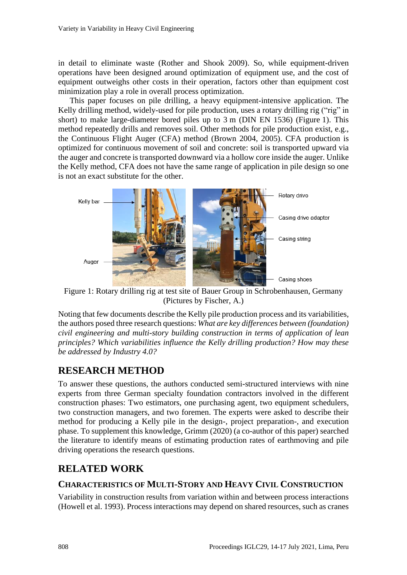in detail to eliminate waste (Rother and Shook 2009). So, while equipment-driven operations have been designed around optimization of equipment use, and the cost of equipment outweighs other costs in their operation, factors other than equipment cost minimization play a role in overall process optimization.

This paper focuses on pile drilling, a heavy equipment-intensive application. The Kelly drilling method, widely-used for pile production, uses a rotary drilling rig ("rig" in short) to make large-diameter bored piles up to 3 m (DIN EN 1536) (Figure 1). This method repeatedly drills and removes soil. Other methods for pile production exist, e.g., the Continuous Flight Auger (CFA) method (Brown 2004, 2005). CFA production is optimized for continuous movement of soil and concrete: soil is transported upward via the auger and concrete is transported downward via a hollow core inside the auger. Unlike the Kelly method, CFA does not have the same range of application in pile design so one is not an exact substitute for the other.



Figure 1: Rotary drilling rig at test site of Bauer Group in Schrobenhausen, Germany (Pictures by Fischer, A.)

Noting that few documents describe the Kelly pile production process and its variabilities, the authors posed three research questions: *What are key differences between (foundation) civil engineering and multi-story building construction in terms of application of lean principles? Which variabilities influence the Kelly drilling production? How may these be addressed by Industry 4.0?*

# **RESEARCH METHOD**

To answer these questions, the authors conducted semi-structured interviews with nine experts from three German specialty foundation contractors involved in the different construction phases: Two estimators, one purchasing agent, two equipment schedulers, two construction managers, and two foremen. The experts were asked to describe their method for producing a Kelly pile in the design-, project preparation-, and execution phase. To supplement this knowledge, Grimm (2020) (a co-author of this paper) searched the literature to identify means of estimating production rates of earthmoving and pile driving operations the research questions.

# **RELATED WORK**

### **CHARACTERISTICS OF MULTI-STORY AND HEAVY CIVIL CONSTRUCTION**

Variability in construction results from variation within and between process interactions (Howell et al. 1993). Process interactions may depend on shared resources, such as cranes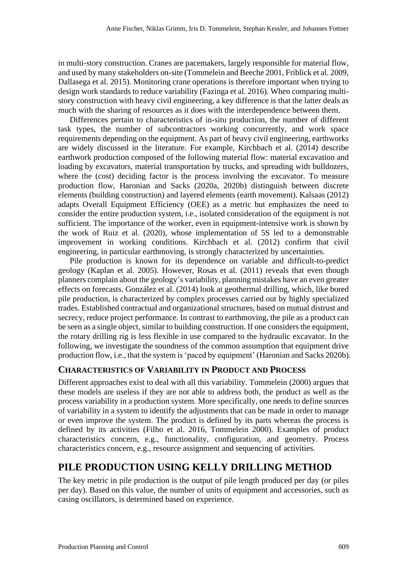in multi-story construction. Cranes are pacemakers, largely responsible for material flow, and used by many stakeholders on-site (Tommelein and Beeche 2001, Friblick et al. 2009, Dallasega et al. 2015). Monitoring crane operations is therefore important when trying to design work standards to reduce variability (Fazinga et al. 2016). When comparing multistory construction with heavy civil engineering, a key difference is that the latter deals as much with the sharing of resources as it does with the interdependence between them.

Differences pertain to characteristics of in-situ production, the number of different task types, the number of subcontractors working concurrently, and work space requirements depending on the equipment. As part of heavy civil engineering, earthworks are widely discussed in the literature. For example, Kirchbach et al. (2014) describe earthwork production composed of the following material flow: material excavation and loading by excavators, material transportation by trucks, and spreading with bulldozers, where the (cost) deciding factor is the process involving the excavator. To measure production flow, Haronian and Sacks (2020a, 2020b) distinguish between discrete elements (building construction) and layered elements (earth movement). Kalsaas (2012) adapts Overall Equipment Efficiency (OEE) as a metric but emphasizes the need to consider the entire production system, i.e., isolated consideration of the equipment is not sufficient. The importance of the worker, even in equipment-intensive work is shown by the work of Ruiz et al. (2020), whose implementation of 5S led to a demonstrable improvement in working conditions. Kirchbach et al. (2012) confirm that civil engineering, in particular earthmoving, is strongly characterized by uncertainties.

Pile production is known for its dependence on variable and difficult-to-predict geology (Kaplan et al. 2005). However, Rosas et al. (2011) reveals that even though planners complain about the geology's variability, planning mistakes have an even greater effects on forecasts. González et al. (2014) look at geothermal drilling, which, like bored pile production, is characterized by complex processes carried out by highly specialized trades. Established contractual and organizational structures, based on mutual distrust and secrecy, reduce project performance. In contrast to earthmoving, the pile as a product can be seen as a single object, similar to building construction. If one considers the equipment, the rotary drilling rig is less flexible in use compared to the hydraulic excavator. In the following, we investigate the soundness of the common assumption that equipment drive production flow, i.e., that the system is 'paced by equipment' (Haronian and Sacks 2020b).

#### **CHARACTERISTICS OF VARIABILITY IN PRODUCT AND PROCESS**

Different approaches exist to deal with all this variability. Tommelein (2000) argues that these models are useless if they are not able to address both, the product as well as the process variability in a production system. More specifically, one needs to define sources of variability in a system to identify the adjustments that can be made in order to manage or even improve the system. The product is defined by its parts whereas the process is defined by its activities (Filho et al. 2016, Tommelein 2000). Examples of product characteristics concern, e.g., functionality, configuration, and geometry. Process characteristics concern, e.g., resource assignment and sequencing of activities.

### **PILE PRODUCTION USING KELLY DRILLING METHOD**

The key metric in pile production is the output of pile length produced per day (or piles per day). Based on this value, the number of units of equipment and accessories, such as casing oscillators, is determined based on experience.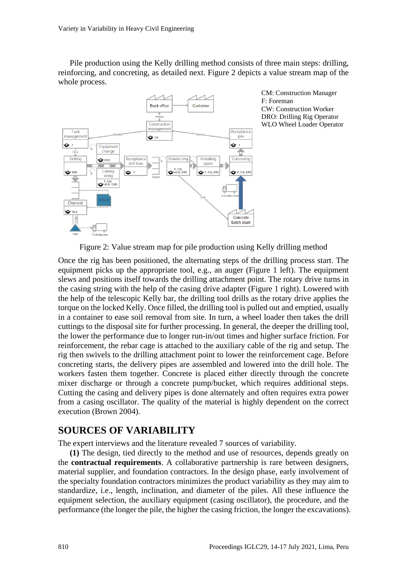Pile production using the Kelly drilling method consists of three main steps: drilling, reinforcing, and concreting, as detailed next. Figure 2 depicts a value stream map of the whole process.



Figure 2: Value stream map for pile production using Kelly drilling method

Once the rig has been positioned, the alternating steps of the drilling process start. The equipment picks up the appropriate tool, e.g., an auger (Figure 1 left). The equipment slews and positions itself towards the drilling attachment point. The rotary drive turns in the casing string with the help of the casing drive adapter (Figure 1 right). Lowered with the help of the telescopic Kelly bar, the drilling tool drills as the rotary drive applies the torque on the locked Kelly. Once filled, the drilling tool is pulled out and emptied, usually in a container to ease soil removal from site. In turn, a wheel loader then takes the drill cuttings to the disposal site for further processing. In general, the deeper the drilling tool, the lower the performance due to longer run-in/out times and higher surface friction. For reinforcement, the rebar cage is attached to the auxiliary cable of the rig and setup. The rig then swivels to the drilling attachment point to lower the reinforcement cage. Before concreting starts, the delivery pipes are assembled and lowered into the drill hole. The workers fasten them together. Concrete is placed either directly through the concrete mixer discharge or through a concrete pump/bucket, which requires additional steps. Cutting the casing and delivery pipes is done alternately and often requires extra power from a casing oscillator. The quality of the material is highly dependent on the correct execution (Brown 2004).

### **SOURCES OF VARIABILITY**

The expert interviews and the literature revealed 7 sources of variability.

**(1)** The design, tied directly to the method and use of resources, depends greatly on the **contractual requirements**. A collaborative partnership is rare between designers, material supplier, and foundation contractors. In the design phase, early involvement of the specialty foundation contractors minimizes the product variability as they may aim to standardize, i.e., length, inclination, and diameter of the piles. All these influence the equipment selection, the auxiliary equipment (casing oscillator), the procedure, and the performance (the longer the pile, the higher the casing friction, the longer the excavations).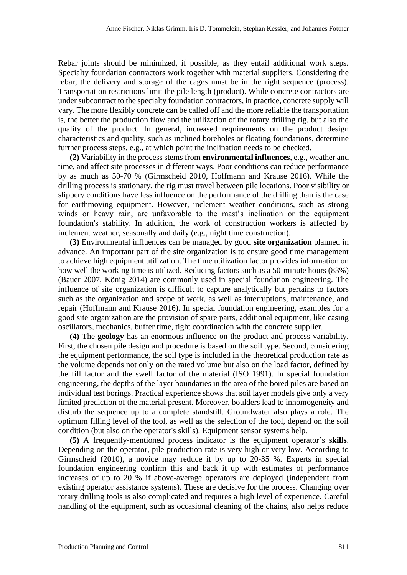Rebar joints should be minimized, if possible, as they entail additional work steps. Specialty foundation contractors work together with material suppliers. Considering the rebar, the delivery and storage of the cages must be in the right sequence (process). Transportation restrictions limit the pile length (product). While concrete contractors are under subcontract to the specialty foundation contractors, in practice, concrete supply will vary. The more flexibly concrete can be called off and the more reliable the transportation is, the better the production flow and the utilization of the rotary drilling rig, but also the quality of the product. In general, increased requirements on the product design characteristics and quality, such as inclined boreholes or floating foundations, determine further process steps, e.g., at which point the inclination needs to be checked.

**(2)** Variability in the process stems from **environmental influences**, e.g., weather and time, and affect site processes in different ways. Poor conditions can reduce performance by as much as 50-70 % (Girmscheid 2010, Hoffmann and Krause 2016). While the drilling process is stationary, the rig must travel between pile locations. Poor visibility or slippery conditions have less influence on the performance of the drilling than is the case for earthmoving equipment. However, inclement weather conditions, such as strong winds or heavy rain, are unfavorable to the mast's inclination or the equipment foundation's stability. In addition, the work of construction workers is affected by inclement weather, seasonally and daily (e.g., night time construction).

**(3)** Environmental influences can be managed by good **site organization** planned in advance. An important part of the site organization is to ensure good time management to achieve high equipment utilization. The time utilization factor provides information on how well the working time is utilized. Reducing factors such as a 50-minute hours (83%) (Bauer 2007, König 2014) are commonly used in special foundation engineering. The influence of site organization is difficult to capture analytically but pertains to factors such as the organization and scope of work, as well as interruptions, maintenance, and repair (Hoffmann and Krause 2016). In special foundation engineering, examples for a good site organization are the provision of spare parts, additional equipment, like casing oscillators, mechanics, buffer time, tight coordination with the concrete supplier.

**(4)** The **geology** has an enormous influence on the product and process variability. First, the chosen pile design and procedure is based on the soil type. Second, considering the equipment performance, the soil type is included in the theoretical production rate as the volume depends not only on the rated volume but also on the load factor, defined by the fill factor and the swell factor of the material (ISO 1991). In special foundation engineering, the depths of the layer boundaries in the area of the bored piles are based on individual test borings. Practical experience shows that soil layer models give only a very limited prediction of the material present. Moreover, boulders lead to inhomogeneity and disturb the sequence up to a complete standstill. Groundwater also plays a role. The optimum filling level of the tool, as well as the selection of the tool, depend on the soil condition (but also on the operator's skills). Equipment sensor systems help.

**(5)** A frequently-mentioned process indicator is the equipment operator's **skills**. Depending on the operator, pile production rate is very high or very low. According to Girmscheid (2010), a novice may reduce it by up to 20-35 %. Experts in special foundation engineering confirm this and back it up with estimates of performance increases of up to 20 % if above-average operators are deployed (independent from existing operator assistance systems). These are decisive for the process. Changing over rotary drilling tools is also complicated and requires a high level of experience. Careful handling of the equipment, such as occasional cleaning of the chains, also helps reduce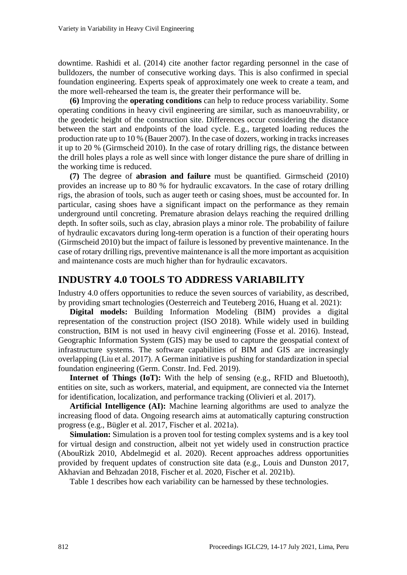downtime. Rashidi et al. (2014) cite another factor regarding personnel in the case of bulldozers, the number of consecutive working days. This is also confirmed in special foundation engineering. Experts speak of approximately one week to create a team, and the more well-rehearsed the team is, the greater their performance will be.

**(6)** Improving the **operating conditions** can help to reduce process variability. Some operating conditions in heavy civil engineering are similar, such as manoeuvrability, or the geodetic height of the construction site. Differences occur considering the distance between the start and endpoints of the load cycle. E.g., targeted loading reduces the production rate up to 10 % (Bauer 2007). In the case of dozers, working in tracks increases it up to 20 % (Girmscheid 2010). In the case of rotary drilling rigs, the distance between the drill holes plays a role as well since with longer distance the pure share of drilling in the working time is reduced.

**(7)** The degree of **abrasion and failure** must be quantified. Girmscheid (2010) provides an increase up to 80 % for hydraulic excavators. In the case of rotary drilling rigs, the abrasion of tools, such as auger teeth or casing shoes, must be accounted for. In particular, casing shoes have a significant impact on the performance as they remain underground until concreting. Premature abrasion delays reaching the required drilling depth. In softer soils, such as clay, abrasion plays a minor role. The probability of failure of hydraulic excavators during long-term operation is a function of their operating hours (Girmscheid 2010) but the impact of failure is lessoned by preventive maintenance. In the case of rotary drilling rigs, preventive maintenance is all the more important as acquisition and maintenance costs are much higher than for hydraulic excavators.

#### **INDUSTRY 4.0 TOOLS TO ADDRESS VARIABILITY**

Industry 4.0 offers opportunities to reduce the seven sources of variability, as described, by providing smart technologies (Oesterreich and Teuteberg 2016, Huang et al. 2021):

**Digital models:** Building Information Modeling (BIM) provides a digital representation of the construction project (ISO 2018). While widely used in building construction, BIM is not used in heavy civil engineering (Fosse et al. 2016). Instead, Geographic Information System (GIS) may be used to capture the geospatial context of infrastructure systems. The software capabilities of BIM and GIS are increasingly overlapping (Liu et al. 2017). A German initiative is pushing for standardization in special foundation engineering (Germ. Constr. Ind. Fed. 2019).

**Internet of Things (IoT):** With the help of sensing (e.g., RFID and Bluetooth), entities on site, such as workers, material, and equipment, are connected via the Internet for identification, localization, and performance tracking (Olivieri et al. 2017).

**Artificial Intelligence (AI):** Machine learning algorithms are used to analyze the increasing flood of data. Ongoing research aims at automatically capturing construction progress (e.g., Bügler et al. 2017, Fischer et al. 2021a).

**Simulation:** Simulation is a proven tool for testing complex systems and is a key tool for virtual design and construction, albeit not yet widely used in construction practice (AbouRizk 2010, Abdelmegid et al. 2020). Recent approaches address opportunities provided by frequent updates of construction site data (e.g., Louis and Dunston 2017, Akhavian and Behzadan 2018, Fischer et al. 2020, Fischer et al. 2021b).

Table 1 describes how each variability can be harnessed by these technologies.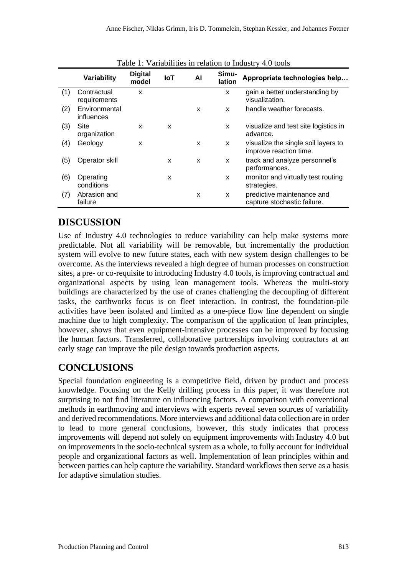| raone 1. Variabilities in relation to maggiust<br>$1.00 \, \text{U}$ |                             |                         |            |    |                 |                                                               |
|----------------------------------------------------------------------|-----------------------------|-------------------------|------------|----|-----------------|---------------------------------------------------------------|
|                                                                      | Variability                 | <b>Digital</b><br>model | <b>IoT</b> | AI | Simu-<br>lation | Appropriate technologies help                                 |
| (1)                                                                  | Contractual<br>requirements | X                       |            |    | X               | gain a better understanding by<br>visualization.              |
| (2)                                                                  | Environmental<br>influences |                         |            | X  | X               | handle weather forecasts.                                     |
| (3)                                                                  | Site<br>organization        | x                       | X          |    | X               | visualize and test site logistics in<br>advance.              |
| (4)                                                                  | Geology                     | X                       |            | X  | X               | visualize the single soil layers to<br>improve reaction time. |
| (5)                                                                  | Operator skill              |                         | X          | X  | X               | track and analyze personnel's<br>performances.                |
| (6)                                                                  | Operating<br>conditions     |                         | X          |    | X               | monitor and virtually test routing<br>strategies.             |
| (7)                                                                  | Abrasion and<br>failure     |                         |            | x  | X               | predictive maintenance and<br>capture stochastic failure.     |

Table  $1:$  Variabilities in relation to Industry  $4.0$  tools

### **DISCUSSION**

Use of Industry 4.0 technologies to reduce variability can help make systems more predictable. Not all variability will be removable, but incrementally the production system will evolve to new future states, each with new system design challenges to be overcome. As the interviews revealed a high degree of human processes on construction sites, a pre- or co-requisite to introducing Industry 4.0 tools, is improving contractual and organizational aspects by using lean management tools. Whereas the multi-story buildings are characterized by the use of cranes challenging the decoupling of different tasks, the earthworks focus is on fleet interaction. In contrast, the foundation-pile activities have been isolated and limited as a one-piece flow line dependent on single machine due to high complexity. The comparison of the application of lean principles, however, shows that even equipment-intensive processes can be improved by focusing the human factors. Transferred, collaborative partnerships involving contractors at an early stage can improve the pile design towards production aspects.

### **CONCLUSIONS**

Special foundation engineering is a competitive field, driven by product and process knowledge. Focusing on the Kelly drilling process in this paper, it was therefore not surprising to not find literature on influencing factors. A comparison with conventional methods in earthmoving and interviews with experts reveal seven sources of variability and derived recommendations. More interviews and additional data collection are in order to lead to more general conclusions, however, this study indicates that process improvements will depend not solely on equipment improvements with Industry 4.0 but on improvements in the socio-technical system as a whole, to fully account for individual people and organizational factors as well. Implementation of lean principles within and between parties can help capture the variability. Standard workflows then serve as a basis for adaptive simulation studies.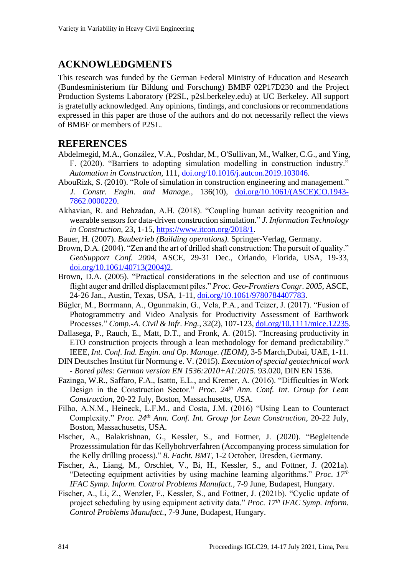### **ACKNOWLEDGMENTS**

This research was funded by the German Federal Ministry of Education and Research (Bundesministerium für Bildung und Forschung) BMBF 02P17D230 and the Project Production Systems Laboratory (P2SL, p2sl.berkeley.edu) at UC Berkeley. All support is gratefully acknowledged. Any opinions, findings, and conclusions or recommendations expressed in this paper are those of the authors and do not necessarily reflect the views of BMBF or members of P2SL.

#### **REFERENCES**

- Abdelmegid, M.A., González, V.A., Poshdar, M., O'Sullivan, M., Walker, C.G., and Ying, F. (2020). "Barriers to adopting simulation modelling in construction industry." *Automation in Construction*, 111, [doi.org/10.1016/j.autcon.2019.103046.](https://doi.org/10.1016/j.autcon.2019.103046)
- AbouRizk, S. (2010). "Role of simulation in construction engineering and management." *J. Constr. Engin. and Manage.*, 136(10), [doi.org/10.1061/\(ASCE\)CO.1943-](https://doi.org/10.1061/(ASCE)CO.1943-7862.0000220) [7862.0000220.](https://doi.org/10.1061/(ASCE)CO.1943-7862.0000220)
- Akhavian, R. and Behzadan, A.H. (2018). "Coupling human activity recognition and wearable sensors for data-driven construction simulation." *J. Information Technology in Construction*, 23, 1-15, [https://www.itcon.org/2018/1.](https://www.itcon.org/2018/1)
- Bauer, H. (2007). *Baubetrieb (Building operations).* Springer-Verlag, Germany.
- Brown, D.A. (2004). "Zen and the art of drilled shaft construction: The pursuit of quality." *GeoSupport Conf. 2004*, ASCE, 29-31 Dec., Orlando, Florida, USA, 19-33, [doi.org/10.1061/40713\(2004\)2.](https://doi.org/10.1061/40713(2004)2)
- Brown, D.A. (2005). "Practical considerations in the selection and use of continuous flight auger and drilled displacement piles." *Proc. Geo-Frontiers Congr. 2005*, ASCE, 24-26 Jan., Austin, Texas, USA, 1-11, [doi.org/10.1061/9780784407783.](https://doi.org/10.1061/9780784407783)
- Bügler, M., Borrmann, A., Ogunmakin, G., Vela, P.A., and Teizer, J. (2017). "Fusion of Photogrammetry and Video Analysis for Productivity Assessment of Earthwork Processes." *Comp.-A. Civil & Infr. Eng.*, 32(2), 107-123, [doi.org/10.1111/mice.12235.](https://doi.org/10.1111/mice.12235)
- Dallasega, P., Rauch, E., Matt, D.T., and Fronk, A. (2015). "Increasing productivity in ETO construction projects through a lean methodology for demand predictability." IEEE, *Int. Conf. Ind. Engin. and Op. Manage. (IEOM)*, 3-5 March,Dubai, UAE, 1-11.
- DIN Deutsches Institut für Normung e. V. (2015). *Execution of special geotechnical work - Bored piles: German version EN 1536:2010+A1:2015.* 93.020, DIN EN 1536.
- Fazinga, W.R., Saffaro, F.A., Isatto, E.L., and Kremer, A. (2016). "Difficulties in Work Design in the Construction Sector." *Proc. 24th Ann. Conf. Int. Group for Lean Construction,* 20-22 July, Boston, Massachusetts, USA.
- Filho, A.N.M., Heineck, L.F.M., and Costa, J.M. (2016) "Using Lean to Counteract Complexity." *Proc. 24th Ann. Conf. Int. Group for Lean Construction*, 20-22 July, Boston, Massachusetts, USA.
- Fischer, A., Balakrishnan, G., Kessler, S., and Fottner, J. (2020). "Begleitende Prozesssimulation für das Kellybohrverfahren (Accompanying process simulation for the Kelly drilling process)." *8. Facht. BMT,* 1-2 October, Dresden, Germany.
- Fischer, A., Liang, M., Orschlet, V., Bi, H., Kessler, S., and Fottner, J. (2021a). "Detecting equipment activities by using machine learning algorithms." *Proc. 17th IFAC Symp. Inform. Control Problems Manufact.*, 7-9 June, Budapest, Hungary.
- Fischer, A., Li, Z., Wenzler, F., Kessler, S., and Fottner, J. (2021b). "Cyclic update of project scheduling by using equipment activity data." *Proc. 17th IFAC Symp. Inform. Control Problems Manufact.*, 7-9 June, Budapest, Hungary.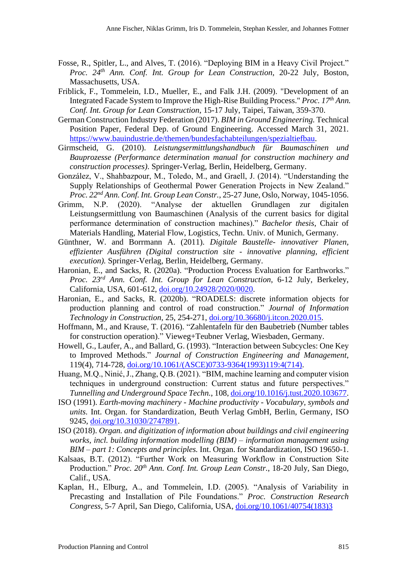- Fosse, R., Spitler, L., and Alves, T. (2016). "Deploying BIM in a Heavy Civil Project." *Proc. 24th Ann. Conf. Int. Group for Lean Construction*, 20-22 July, Boston, Massachusetts, USA.
- Friblick, F., Tommelein, I.D., Mueller, E., and Falk J.H. (2009). "Development of an Integrated Facade System to Improve the High-Rise Building Process." *Proc. 17th Ann. Conf. Int. Group for Lean Construction*, 15-17 July, Taipei, Taiwan, 359-370.
- German Construction Industry Federation (2017). *BIM in Ground Engineering.* Technical Position Paper, Federal Dep. of Ground Engineering. Accessed March 31, 2021. [https://www.bauindustrie.de/themen/bundesfachabteilungen/spezialtiefbau.](https://www.bauindustrie.de/themen/bundesfachabteilungen/spezialtiefbau)
- Girmscheid, G. (2010). *Leistungsermittlungshandbuch für Baumaschinen und Bauprozesse (Performance determination manual for construction machinery and construction processes)*. Springer-Verlag, Berlin, Heidelberg, Germany.
- González, V., Shahbazpour, M., Toledo, M., and Graell, J. (2014). "Understanding the Supply Relationships of Geothermal Power Generation Projects in New Zealand." *Proc. 22nd Ann. Conf. Int. Group Lean Constr.*, 25-27 June, Oslo, Norway, 1045-1056.
- Grimm, N.P. (2020). "Analyse der aktuellen Grundlagen zur digitalen Leistungsermittlung von Baumaschinen (Analysis of the current basics for digital performance determination of construction machines)." *Bachelor thesis*, Chair of Materials Handling, Material Flow, Logistics, Techn. Univ. of Munich, Germany.
- Günthner, W. and Borrmann A. (2011). *Digitale Baustelle- innovativer Planen, effizienter Ausführen (Digital construction site - innovative planning, efficient execution).* Springer-Verlag, Berlin, Heidelberg, Germany.
- Haronian, E., and Sacks, R. (2020a). "Production Process Evaluation for Earthworks." *Proc. 23rd Ann. Conf. Int. Group for Lean Construction*, 6-12 July, Berkeley, California, USA, 601-612, [doi.org/10.24928/2020/0020.](https://doi.org/10.24928/2020/0020)
- Haronian, E., and Sacks, R. (2020b). "ROADELS: discrete information objects for production planning and control of road construction." *Journal of Information Technology in Construction*, 25, 254-271, [doi.org/10.36680/j.itcon.2020.015.](https://doi.org/10.36680/j.itcon.2020.015)
- Hoffmann, M., and Krause, T. (2016). "Zahlentafeln für den Baubetrieb (Number tables for construction operation)." Vieweg+Teubner Verlag, Wiesbaden, Germany.
- Howell, G., Laufer, A., and Ballard, G. (1993). "Interaction between Subcycles: One Key to Improved Methods." *Journal of Construction Engineering and Management*, 119(4), 714-728, [doi.org/10.1061/\(ASCE\)0733-9364\(1993\)119:4\(714\).](https://doi.org/10.1061/(ASCE)0733-9364(1993)119:4(714))
- Huang, M.Q., Ninić, J., Zhang, Q.B. (2021). "BIM, machine learning and computer vision techniques in underground construction: Current status and future perspectives." *Tunnelling and Underground Space Techn.*, 108[, doi.org/10.1016/j.tust.2020.103677.](https://doi.org/10.1016/j.tust.2020.103677)
- ISO (1991). *Earth-moving machinery - Machine productivity - Vocabulary, symbols and units.* Int. Organ. for Standardization, Beuth Verlag GmbH, Berlin, Germany, ISO 9245, [doi.org/10.31030/2747891.](https://doi.org/10.31030/2747891)
- ISO (2018). *Organ. and digitization of information about buildings and civil engineering works, incl. building information modelling (BIM) – information management using BIM – part 1: Concepts and principles.* Int. Organ. for Standardization, ISO 19650-1.
- Kalsaas, B.T. (2012). "Further Work on Measuring Workflow in Construction Site Production." *Proc. 20th Ann. Conf. Int. Group Lean Constr.*, 18-20 July, San Diego, Calif., USA.
- Kaplan, H., Elburg, A., and Tommelein, I.D. (2005). "Analysis of Variability in Precasting and Installation of Pile Foundations." *Proc. Construction Research Congress*, 5-7 April, San Diego, California, USA, [doi.org/10.1061/40754\(183\)3](https://doi.org/10.1061/40754(183)3)